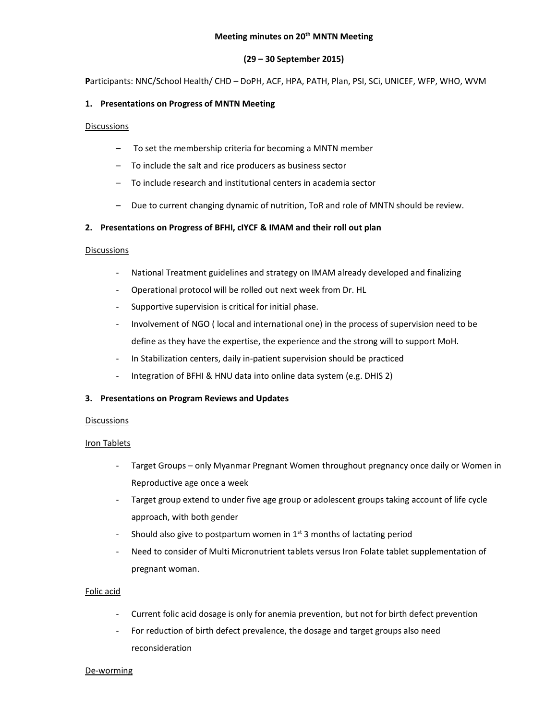#### Meeting minutes on 20<sup>th</sup> MNTN Meeting

## (29 – 30 September 2015)

Participants: NNC/School Health/ CHD – DoPH, ACF, HPA, PATH, Plan, PSI, SCi, UNICEF, WFP, WHO, WVM

## 1. Presentations on Progress of MNTN Meeting

## **Discussions**

- To set the membership criteria for becoming a MNTN member
- To include the salt and rice producers as business sector
- To include research and institutional centers in academia sector
- Due to current changing dynamic of nutrition, ToR and role of MNTN should be review.

## 2. Presentations on Progress of BFHI, cIYCF & IMAM and their roll out plan

## **Discussions**

- National Treatment guidelines and strategy on IMAM already developed and finalizing
- Operational protocol will be rolled out next week from Dr. HL
- Supportive supervision is critical for initial phase.
- Involvement of NGO ( local and international one) in the process of supervision need to be define as they have the expertise, the experience and the strong will to support MoH.
- In Stabilization centers, daily in-patient supervision should be practiced
- Integration of BFHI & HNU data into online data system (e.g. DHIS 2)

## 3. Presentations on Program Reviews and Updates

## Discussions

## Iron Tablets

- Target Groups only Myanmar Pregnant Women throughout pregnancy once daily or Women in Reproductive age once a week
- Target group extend to under five age group or adolescent groups taking account of life cycle approach, with both gender
- Should also give to postpartum women in  $1<sup>st</sup>$  3 months of lactating period
- Need to consider of Multi Micronutrient tablets versus Iron Folate tablet supplementation of pregnant woman.

## Folic acid

- Current folic acid dosage is only for anemia prevention, but not for birth defect prevention
- For reduction of birth defect prevalence, the dosage and target groups also need reconsideration

#### De-worming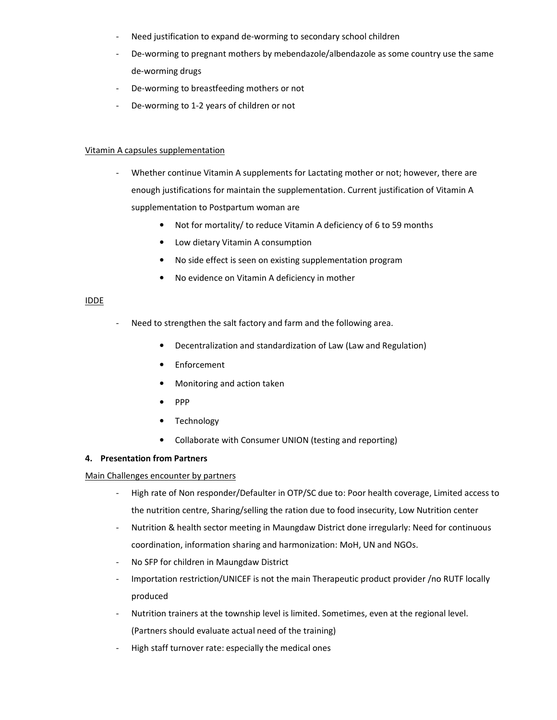- Need justification to expand de-worming to secondary school children
- De-worming to pregnant mothers by mebendazole/albendazole as some country use the same de-worming drugs
- De-worming to breastfeeding mothers or not
- De-worming to 1-2 years of children or not

## Vitamin A capsules supplementation

- Whether continue Vitamin A supplements for Lactating mother or not; however, there are enough justifications for maintain the supplementation. Current justification of Vitamin A supplementation to Postpartum woman are
	- Not for mortality/ to reduce Vitamin A deficiency of 6 to 59 months
	- Low dietary Vitamin A consumption
	- No side effect is seen on existing supplementation program
	- No evidence on Vitamin A deficiency in mother

# IDDE

- Need to strengthen the salt factory and farm and the following area.
	- Decentralization and standardization of Law (Law and Regulation)
	- Enforcement
	- Monitoring and action taken
	- PPP
	- Technology
	- Collaborate with Consumer UNION (testing and reporting)

## 4. Presentation from Partners

## Main Challenges encounter by partners

- High rate of Non responder/Defaulter in OTP/SC due to: Poor health coverage, Limited access to the nutrition centre, Sharing/selling the ration due to food insecurity, Low Nutrition center
- Nutrition & health sector meeting in Maungdaw District done irregularly: Need for continuous coordination, information sharing and harmonization: MoH, UN and NGOs.
- No SFP for children in Maungdaw District
- Importation restriction/UNICEF is not the main Therapeutic product provider /no RUTF locally produced
- Nutrition trainers at the township level is limited. Sometimes, even at the regional level. (Partners should evaluate actual need of the training)
- High staff turnover rate: especially the medical ones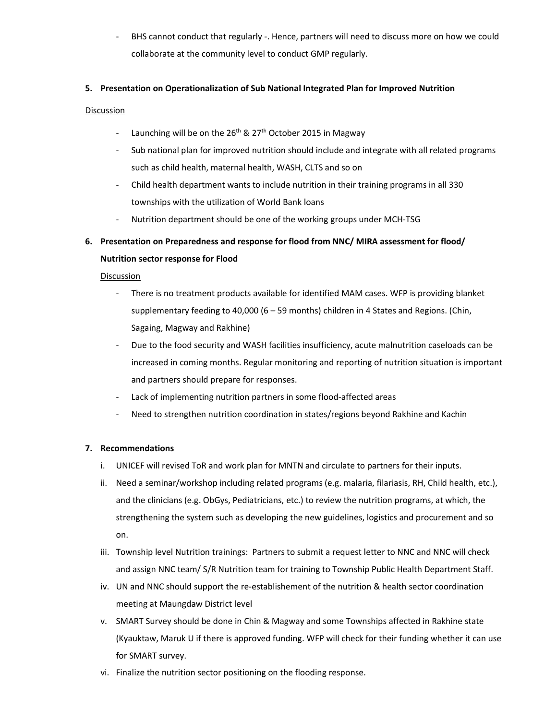BHS cannot conduct that regularly -. Hence, partners will need to discuss more on how we could collaborate at the community level to conduct GMP regularly.

## 5. Presentation on Operationalization of Sub National Integrated Plan for Improved Nutrition

## Discussion

- Launching will be on the  $26<sup>th</sup>$  &  $27<sup>th</sup>$  October 2015 in Magway
- Sub national plan for improved nutrition should include and integrate with all related programs such as child health, maternal health, WASH, CLTS and so on
- Child health department wants to include nutrition in their training programs in all 330 townships with the utilization of World Bank loans
- Nutrition department should be one of the working groups under MCH-TSG

# 6. Presentation on Preparedness and response for flood from NNC/ MIRA assessment for flood/ Nutrition sector response for Flood

## Discussion

- There is no treatment products available for identified MAM cases. WFP is providing blanket supplementary feeding to 40,000 (6 – 59 months) children in 4 States and Regions. (Chin, Sagaing, Magway and Rakhine)
- Due to the food security and WASH facilities insufficiency, acute malnutrition caseloads can be increased in coming months. Regular monitoring and reporting of nutrition situation is important and partners should prepare for responses.
- Lack of implementing nutrition partners in some flood-affected areas
- Need to strengthen nutrition coordination in states/regions beyond Rakhine and Kachin

# 7. Recommendations

- i. UNICEF will revised ToR and work plan for MNTN and circulate to partners for their inputs.
- ii. Need a seminar/workshop including related programs (e.g. malaria, filariasis, RH, Child health, etc.), and the clinicians (e.g. ObGys, Pediatricians, etc.) to review the nutrition programs, at which, the strengthening the system such as developing the new guidelines, logistics and procurement and so on.
- iii. Township level Nutrition trainings: Partners to submit a request letter to NNC and NNC will check and assign NNC team/ S/R Nutrition team for training to Township Public Health Department Staff.
- iv. UN and NNC should support the re-establishement of the nutrition & health sector coordination meeting at Maungdaw District level
- v. SMART Survey should be done in Chin & Magway and some Townships affected in Rakhine state (Kyauktaw, Maruk U if there is approved funding. WFP will check for their funding whether it can use for SMART survey.
- vi. Finalize the nutrition sector positioning on the flooding response.